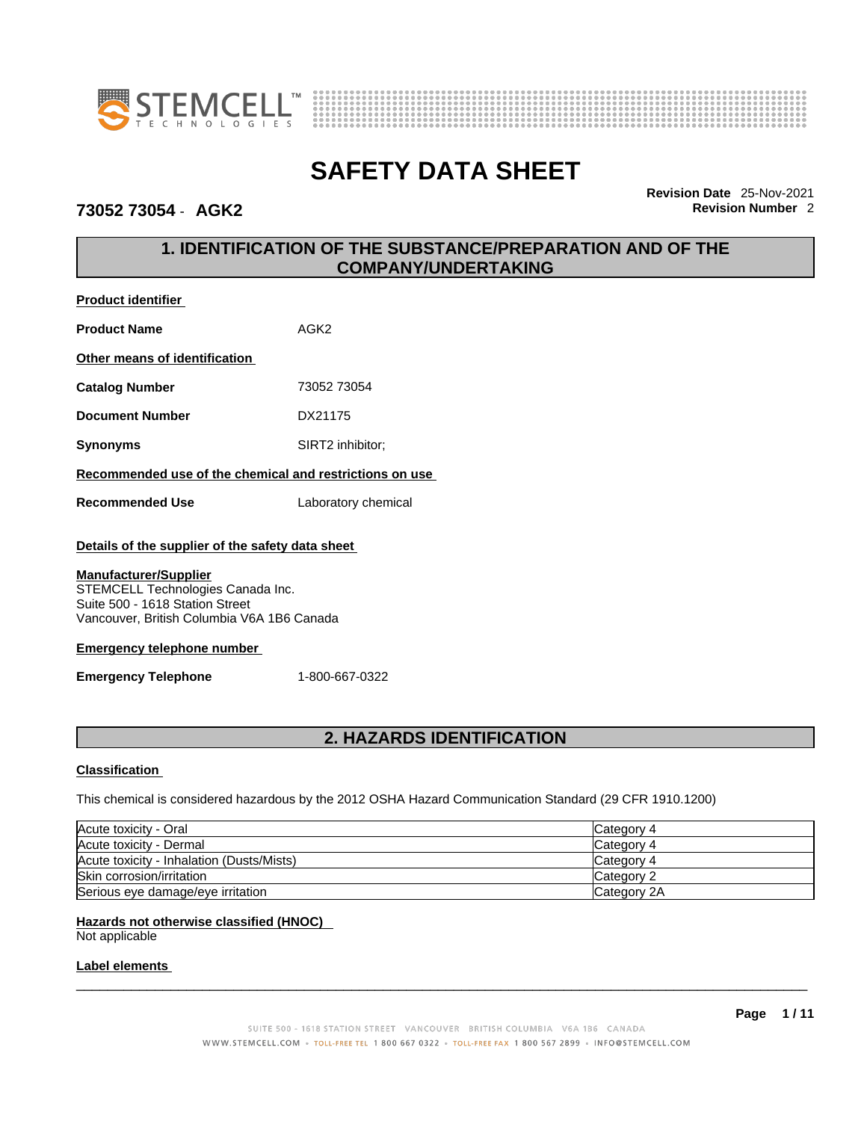



### **73052 73054** - **AGK2 Revision Number** 2

**Revision Date** 25-Nov-2021

# **1. IDENTIFICATION OF THE SUBSTANCE/PREPARATION AND OF THE COMPANY/UNDERTAKING**

| <b>Product identifier</b>                                                                                                                          |                     |  |
|----------------------------------------------------------------------------------------------------------------------------------------------------|---------------------|--|
| <b>Product Name</b>                                                                                                                                | AGK <sub>2</sub>    |  |
| Other means of identification                                                                                                                      |                     |  |
| <b>Catalog Number</b>                                                                                                                              | 73052 73054         |  |
| <b>Document Number</b>                                                                                                                             | DX21175             |  |
| <b>Synonyms</b>                                                                                                                                    | SIRT2 inhibitor;    |  |
| Recommended use of the chemical and restrictions on use                                                                                            |                     |  |
| <b>Recommended Use</b>                                                                                                                             | Laboratory chemical |  |
| Details of the supplier of the safety data sheet                                                                                                   |                     |  |
| <b>Manufacturer/Supplier</b><br>STEMCELL Technologies Canada Inc.<br>Suite 500 - 1618 Station Street<br>Vancouver, British Columbia V6A 1B6 Canada |                     |  |
| <b>Emergency telephone number</b>                                                                                                                  |                     |  |
| <b>Emergency Telephone</b>                                                                                                                         | 1-800-667-0322      |  |

# **2. HAZARDS IDENTIFICATION**

### **Classification**

This chemical is considered hazardous by the 2012 OSHA Hazard Communication Standard (29 CFR 1910.1200)

| Acute toxicity - Oral                     | Category 4  |
|-------------------------------------------|-------------|
| Acute toxicity - Dermal                   | ICategory 4 |
| Acute toxicity - Inhalation (Dusts/Mists) | ICategory 4 |
| Skin corrosion/irritation                 | Category 2  |
| Serious eye damage/eye irritation         | Category 2A |

### **Hazards not otherwise classified (HNOC)**  Not applicable

### **Label elements**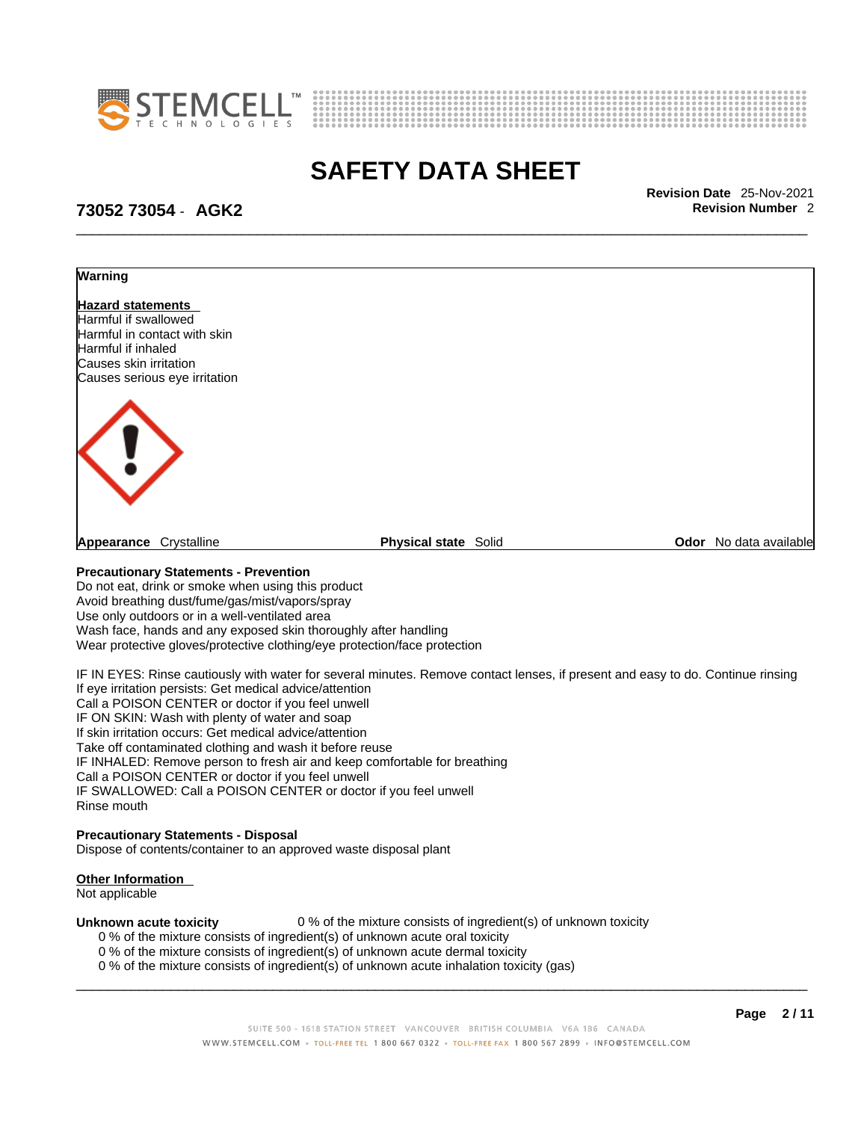



\_\_\_\_\_\_\_\_\_\_\_\_\_\_\_\_\_\_\_\_\_\_\_\_\_\_\_\_\_\_\_\_\_\_\_\_\_\_\_\_\_\_\_\_\_\_\_\_\_\_\_\_\_\_\_\_\_\_\_\_\_\_\_\_\_\_\_\_\_\_\_\_\_\_\_\_\_\_\_\_\_\_\_\_\_\_\_\_\_\_\_\_\_ **Revision Date** 25-Nov-2021

# **73052 73054** - **AGK2 Revision Number** 2



Do not eat, drink or smoke when using this product Avoid breathing dust/fume/gas/mist/vapors/spray Use only outdoors or in a well-ventilated area Wash face, hands and any exposed skin thoroughly after handling Wear protective gloves/protective clothing/eye protection/face protection

IF IN EYES: Rinse cautiously with water for several minutes. Remove contact lenses, if present and easy to do. Continue rinsing If eye irritation persists: Get medical advice/attention Call a POISON CENTER or doctor if you feel unwell IF ON SKIN: Wash with plenty of water and soap If skin irritation occurs: Get medical advice/attention Take off contaminated clothing and wash it before reuse IF INHALED: Remove person to fresh air and keep comfortable for breathing Call a POISON CENTER or doctor if you feel unwell IF SWALLOWED: Call a POISON CENTER or doctor if you feel unwell Rinse mouth

### **Precautionary Statements - Disposal**

Dispose of contents/container to an approved waste disposal plant

### **Other Information**

Not applicable

**Unknown acute toxicity** 0 % of the mixture consists of ingredient(s) of unknown toxicity

- 0 % of the mixture consists of ingredient(s) of unknown acute oral toxicity
- 0 % of the mixture consists of ingredient(s) of unknown acute dermal toxicity
- 0 % of the mixture consists of ingredient(s) of unknown acute inhalation toxicity (gas)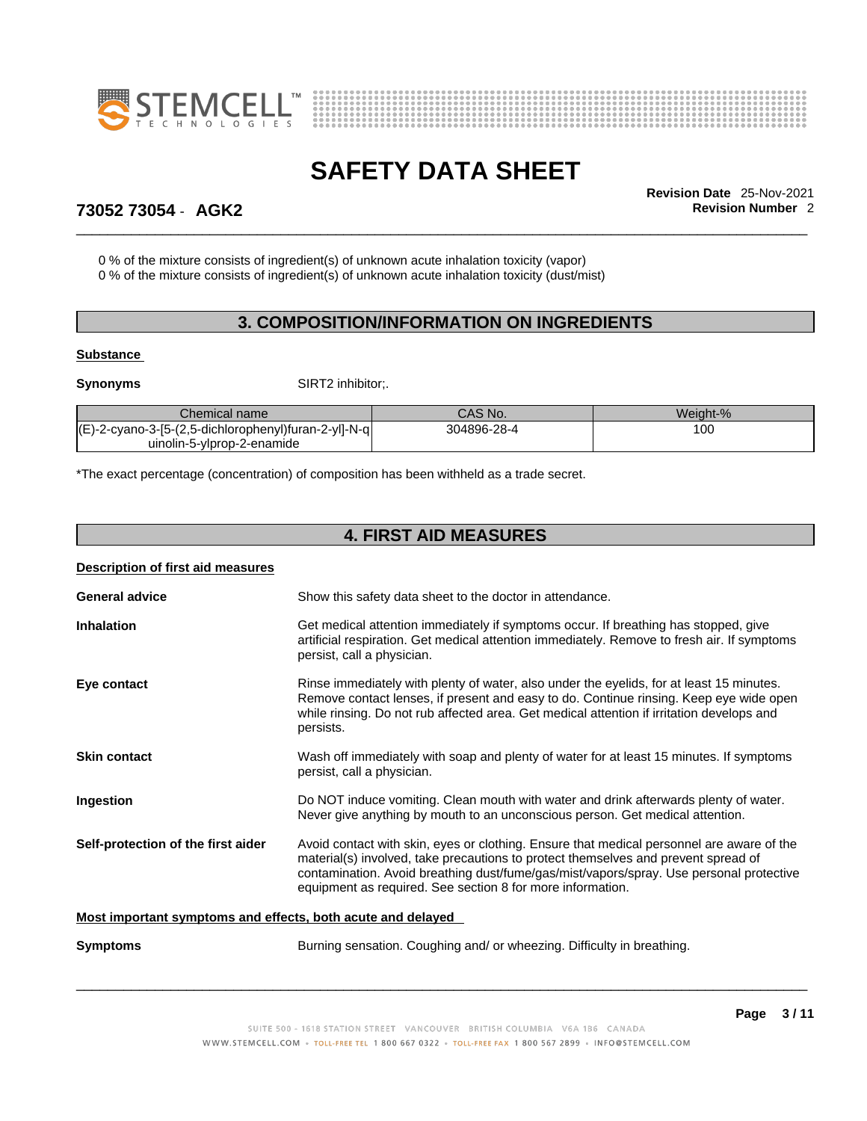



\_\_\_\_\_\_\_\_\_\_\_\_\_\_\_\_\_\_\_\_\_\_\_\_\_\_\_\_\_\_\_\_\_\_\_\_\_\_\_\_\_\_\_\_\_\_\_\_\_\_\_\_\_\_\_\_\_\_\_\_\_\_\_\_\_\_\_\_\_\_\_\_\_\_\_\_\_\_\_\_\_\_\_\_\_\_\_\_\_\_\_\_\_ **Revision Date** 25-Nov-2021

## **73052 73054** - **AGK2 Revision Number** 2

0 % of the mixture consists of ingredient(s) of unknown acute inhalation toxicity (vapor)

0 % of the mixture consists of ingredient(s) of unknown acute inhalation toxicity (dust/mist)

# **3. COMPOSITION/INFORMATION ON INGREDIENTS**

### **Substance**

**Synonyms** SIRT2 inhibitor;.

| Chemical name                                                         | CAS No.     | Weiaht-% |  |
|-----------------------------------------------------------------------|-------------|----------|--|
| $'(\square)$<br>l(E)-2-cyano-3-[5-(2,5-dichlorophenyl)furan-2-yl]-N-q | 304896-28-4 | 100      |  |
| uinolin-5-ylprop-2-enamide                                            |             |          |  |

\*The exact percentage (concentration) of composition has been withheld as a trade secret.

## **4. FIRST AID MEASURES**

| Description of first aid measures                           |                                                                                                                                                                                                                                                                                                                                          |
|-------------------------------------------------------------|------------------------------------------------------------------------------------------------------------------------------------------------------------------------------------------------------------------------------------------------------------------------------------------------------------------------------------------|
| <b>General advice</b>                                       | Show this safety data sheet to the doctor in attendance.                                                                                                                                                                                                                                                                                 |
| <b>Inhalation</b>                                           | Get medical attention immediately if symptoms occur. If breathing has stopped, give<br>artificial respiration. Get medical attention immediately. Remove to fresh air. If symptoms<br>persist, call a physician.                                                                                                                         |
| Eye contact                                                 | Rinse immediately with plenty of water, also under the eyelids, for at least 15 minutes.<br>Remove contact lenses, if present and easy to do. Continue rinsing. Keep eye wide open<br>while rinsing. Do not rub affected area. Get medical attention if irritation develops and<br>persists.                                             |
| <b>Skin contact</b>                                         | Wash off immediately with soap and plenty of water for at least 15 minutes. If symptoms<br>persist, call a physician.                                                                                                                                                                                                                    |
| Ingestion                                                   | Do NOT induce vomiting. Clean mouth with water and drink afterwards plenty of water.<br>Never give anything by mouth to an unconscious person. Get medical attention.                                                                                                                                                                    |
| Self-protection of the first aider                          | Avoid contact with skin, eyes or clothing. Ensure that medical personnel are aware of the<br>material(s) involved, take precautions to protect themselves and prevent spread of<br>contamination. Avoid breathing dust/fume/gas/mist/vapors/spray. Use personal protective<br>equipment as required. See section 8 for more information. |
| Most important symptoms and effects, both acute and delayed |                                                                                                                                                                                                                                                                                                                                          |
| <b>Symptoms</b>                                             | Burning sensation. Coughing and/ or wheezing. Difficulty in breathing.                                                                                                                                                                                                                                                                   |
|                                                             |                                                                                                                                                                                                                                                                                                                                          |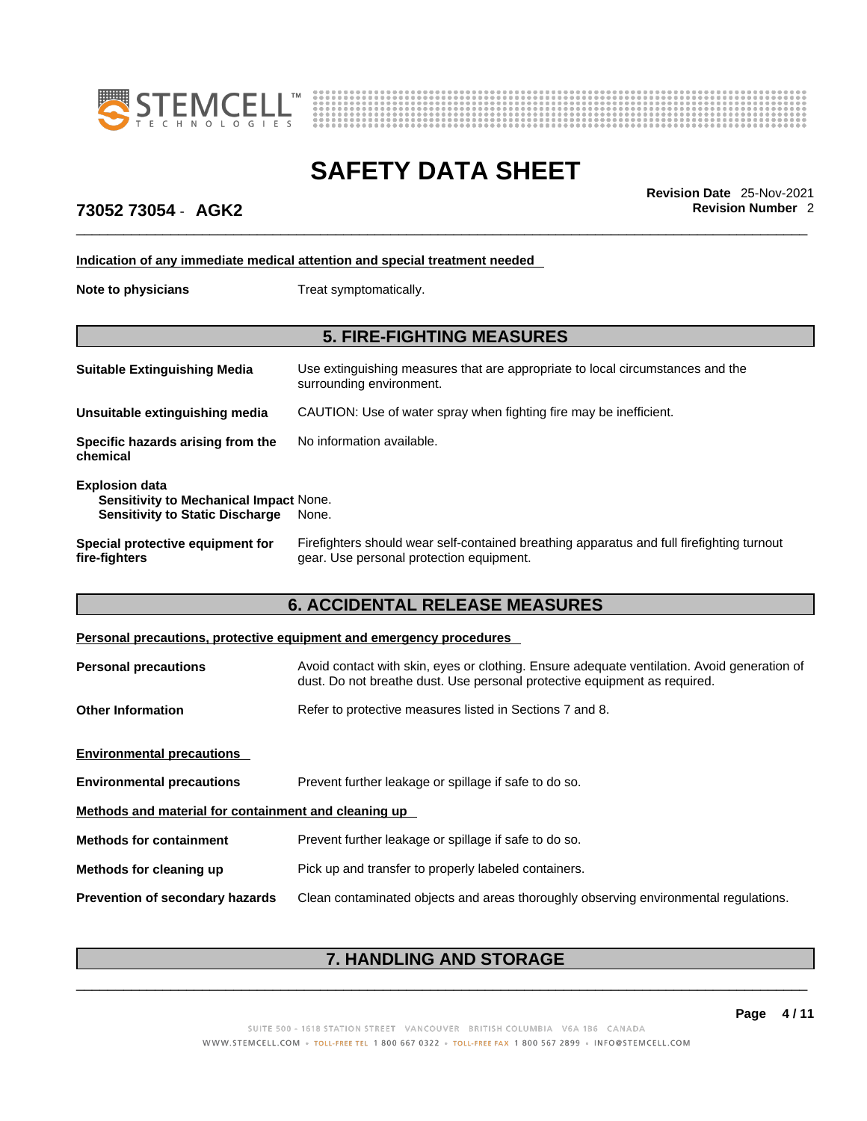



\_\_\_\_\_\_\_\_\_\_\_\_\_\_\_\_\_\_\_\_\_\_\_\_\_\_\_\_\_\_\_\_\_\_\_\_\_\_\_\_\_\_\_\_\_\_\_\_\_\_\_\_\_\_\_\_\_\_\_\_\_\_\_\_\_\_\_\_\_\_\_\_\_\_\_\_\_\_\_\_\_\_\_\_\_\_\_\_\_\_\_\_\_ **Revision Date** 25-Nov-2021

## **73052 73054** - **AGK2 Revision Number** 2

**Indication of any immediate medical attention and special treatment needed**

**Note to physicians** Treat symptomatically.

## **5. FIRE-FIGHTING MEASURES**

| <b>Suitable Extinguishing Media</b>                                                                              | Use extinguishing measures that are appropriate to local circumstances and the<br>surrounding environment.                            |
|------------------------------------------------------------------------------------------------------------------|---------------------------------------------------------------------------------------------------------------------------------------|
| Unsuitable extinguishing media                                                                                   | CAUTION: Use of water spray when fighting fire may be inefficient.                                                                    |
| Specific hazards arising from the<br>chemical                                                                    | No information available.                                                                                                             |
| <b>Explosion data</b><br><b>Sensitivity to Mechanical Impact None.</b><br><b>Sensitivity to Static Discharge</b> | None.                                                                                                                                 |
| Special protective equipment for<br>fire-fighters                                                                | Firefighters should wear self-contained breathing apparatus and full firefighting turnout<br>gear. Use personal protection equipment. |

### **6. ACCIDENTAL RELEASE MEASURES**

### **Personal precautions, protective equipment and emergency procedures**

| <b>Personal precautions</b>                          | Avoid contact with skin, eyes or clothing. Ensure adequate ventilation. Avoid generation of<br>dust. Do not breathe dust. Use personal protective equipment as required. |  |
|------------------------------------------------------|--------------------------------------------------------------------------------------------------------------------------------------------------------------------------|--|
| <b>Other Information</b>                             | Refer to protective measures listed in Sections 7 and 8.                                                                                                                 |  |
| <b>Environmental precautions</b>                     |                                                                                                                                                                          |  |
| <b>Environmental precautions</b>                     | Prevent further leakage or spillage if safe to do so.                                                                                                                    |  |
| Methods and material for containment and cleaning up |                                                                                                                                                                          |  |
| <b>Methods for containment</b>                       | Prevent further leakage or spillage if safe to do so.                                                                                                                    |  |
| Methods for cleaning up                              | Pick up and transfer to properly labeled containers.                                                                                                                     |  |
| <b>Prevention of secondary hazards</b>               | Clean contaminated objects and areas thoroughly observing environmental regulations.                                                                                     |  |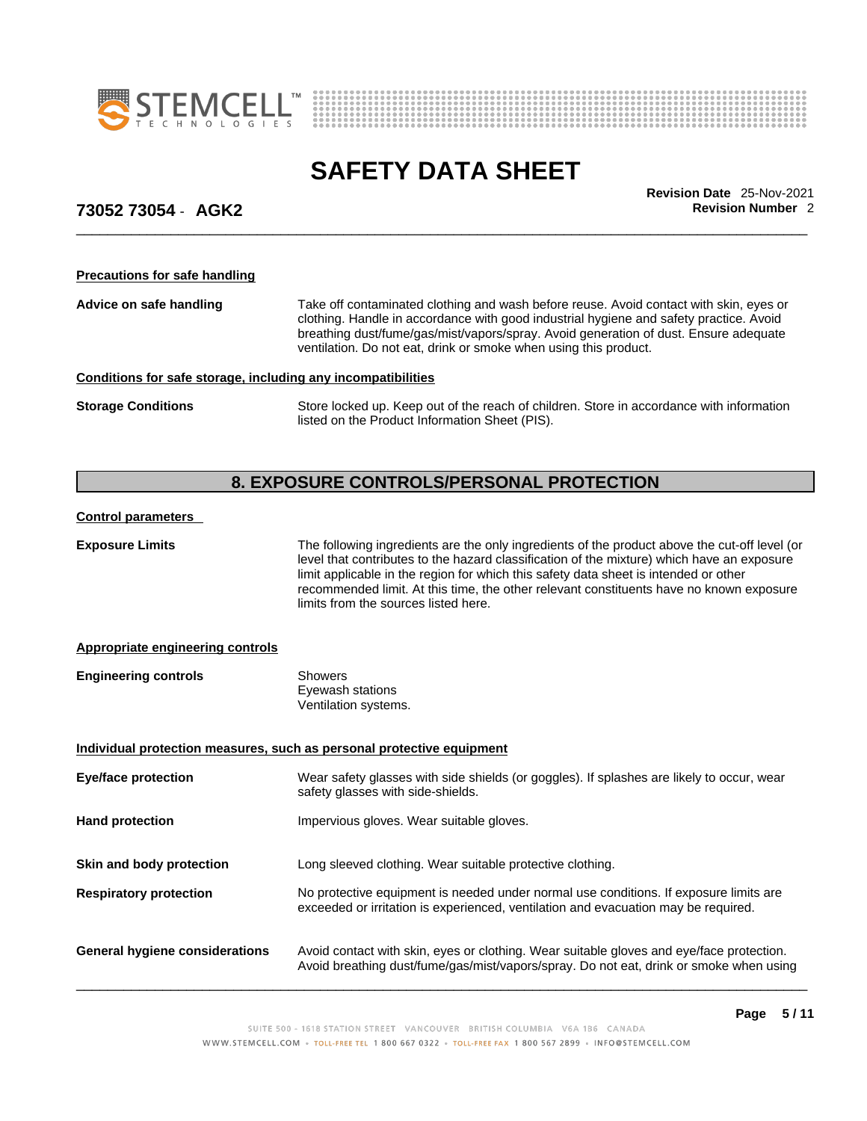



\_\_\_\_\_\_\_\_\_\_\_\_\_\_\_\_\_\_\_\_\_\_\_\_\_\_\_\_\_\_\_\_\_\_\_\_\_\_\_\_\_\_\_\_\_\_\_\_\_\_\_\_\_\_\_\_\_\_\_\_\_\_\_\_\_\_\_\_\_\_\_\_\_\_\_\_\_\_\_\_\_\_\_\_\_\_\_\_\_\_\_\_\_ **Revision Date** 25-Nov-2021

## **73052 73054** - **AGK2 Revision Number** 2

**Precautions for safe handling**

**Advice on safe handling** Take off contaminated clothing and wash before reuse. Avoid contact with skin, eyes or clothing. Handle in accordance with good industrial hygiene and safety practice. Avoid breathing dust/fume/gas/mist/vapors/spray. Avoid generation of dust. Ensure adequate ventilation. Do not eat, drink or smoke when using this product.

### **Conditions for safe storage, including any incompatibilities**

**Storage Conditions** Store locked up. Keep out of the reach of children. Store in accordance with information listed on the Product Information Sheet (PIS).

# **8. EXPOSURE CONTROLS/PERSONAL PROTECTION**

### **Control parameters**

| <b>Appropriate engineering controls</b><br><b>Engineering controls</b><br><b>Showers</b><br>Eyewash stations<br>Ventilation systems.<br>Individual protection measures, such as personal protective equipment               | The following ingredients are the only ingredients of the product above the cut-off level (or |
|-----------------------------------------------------------------------------------------------------------------------------------------------------------------------------------------------------------------------------|-----------------------------------------------------------------------------------------------|
|                                                                                                                                                                                                                             |                                                                                               |
|                                                                                                                                                                                                                             |                                                                                               |
|                                                                                                                                                                                                                             |                                                                                               |
| Wear safety glasses with side shields (or goggles). If splashes are likely to occur, wear<br><b>Eye/face protection</b><br>safety glasses with side-shields.                                                                |                                                                                               |
| <b>Hand protection</b><br>Impervious gloves. Wear suitable gloves.                                                                                                                                                          |                                                                                               |
| Long sleeved clothing. Wear suitable protective clothing.<br>Skin and body protection                                                                                                                                       |                                                                                               |
| No protective equipment is needed under normal use conditions. If exposure limits are<br><b>Respiratory protection</b><br>exceeded or irritation is experienced, ventilation and evacuation may be required.                |                                                                                               |
| Avoid contact with skin, eyes or clothing. Wear suitable gloves and eye/face protection.<br><b>General hygiene considerations</b><br>Avoid breathing dust/fume/gas/mist/vapors/spray. Do not eat, drink or smoke when using |                                                                                               |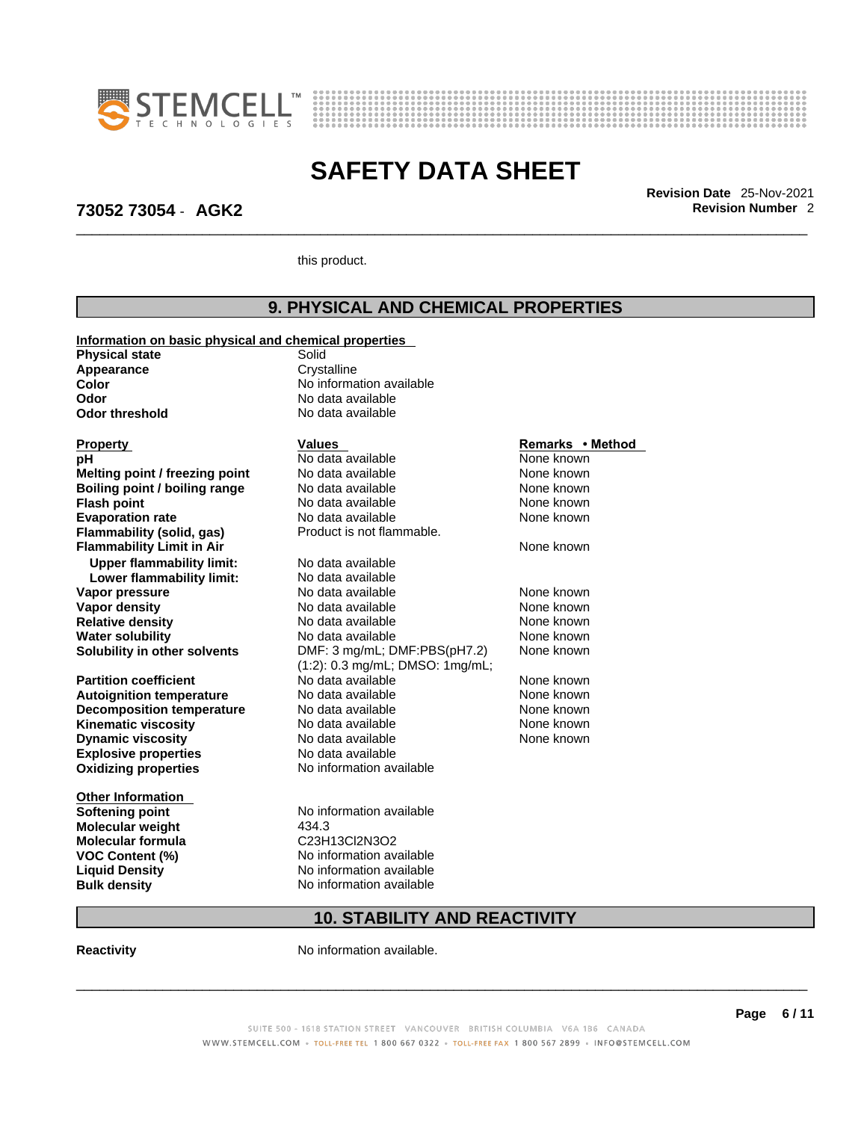



\_\_\_\_\_\_\_\_\_\_\_\_\_\_\_\_\_\_\_\_\_\_\_\_\_\_\_\_\_\_\_\_\_\_\_\_\_\_\_\_\_\_\_\_\_\_\_\_\_\_\_\_\_\_\_\_\_\_\_\_\_\_\_\_\_\_\_\_\_\_\_\_\_\_\_\_\_\_\_\_\_\_\_\_\_\_\_\_\_\_\_\_\_ **Revision Date** 25-Nov-2021

## **73052 73054** - **AGK2 Revision Number** 2

this product.

# **9. PHYSICAL AND CHEMICAL PROPERTIES**

| Information on basic physical and chemical properties |                                 |                  |
|-------------------------------------------------------|---------------------------------|------------------|
| <b>Physical state</b>                                 | Solid                           |                  |
| Appearance                                            | Crystalline                     |                  |
| <b>Color</b>                                          | No information available        |                  |
| Odor                                                  | No data available               |                  |
| <b>Odor threshold</b>                                 | No data available               |                  |
|                                                       |                                 |                  |
| <b>Property</b>                                       | <b>Values</b>                   | Remarks • Method |
| pН                                                    | No data available               | None known       |
| Melting point / freezing point                        | No data available               | None known       |
| Boiling point / boiling range                         | No data available               | None known       |
| <b>Flash point</b>                                    | No data available               | None known       |
| <b>Evaporation rate</b>                               | No data available               | None known       |
| <b>Flammability (solid, gas)</b>                      | Product is not flammable.       |                  |
| <b>Flammability Limit in Air</b>                      |                                 | None known       |
| <b>Upper flammability limit:</b>                      | No data available               |                  |
| Lower flammability limit:                             | No data available               |                  |
| Vapor pressure                                        | No data available               | None known       |
| Vapor density                                         | No data available               | None known       |
| <b>Relative density</b>                               | No data available               | None known       |
| <b>Water solubility</b>                               | No data available               | None known       |
| Solubility in other solvents                          | DMF: 3 mg/mL; DMF:PBS(pH7.2)    | None known       |
|                                                       | (1:2): 0.3 mg/mL; DMSO: 1mg/mL; |                  |
| <b>Partition coefficient</b>                          | No data available               | None known       |
| <b>Autoignition temperature</b>                       | No data available               | None known       |
| <b>Decomposition temperature</b>                      | No data available               | None known       |
| <b>Kinematic viscosity</b>                            | No data available               | None known       |
| <b>Dynamic viscosity</b>                              | No data available               | None known       |
| <b>Explosive properties</b>                           | No data available               |                  |
| <b>Oxidizing properties</b>                           | No information available        |                  |
| <b>Other Information</b>                              |                                 |                  |
| <b>Softening point</b>                                | No information available        |                  |
| Molecular weight                                      | 434.3                           |                  |
| Molecular formula                                     | C23H13Cl2N3O2                   |                  |
| <b>VOC Content (%)</b>                                | No information available        |                  |
| <b>Liquid Density</b>                                 | No information available        |                  |
| <b>Bulk density</b>                                   | No information available        |                  |
|                                                       |                                 |                  |

# **10. STABILITY AND REACTIVITY**

**Reactivity No information available.** 

### SUITE 500 - 1618 STATION STREET VANCOUVER BRITISH COLUMBIA V6A 1B6 CANADA WWW.STEMCELL.COM · TOLL-FREE TEL 1 800 667 0322 · TOLL-FREE FAX 1 800 567 2899 · INFO@STEMCELL.COM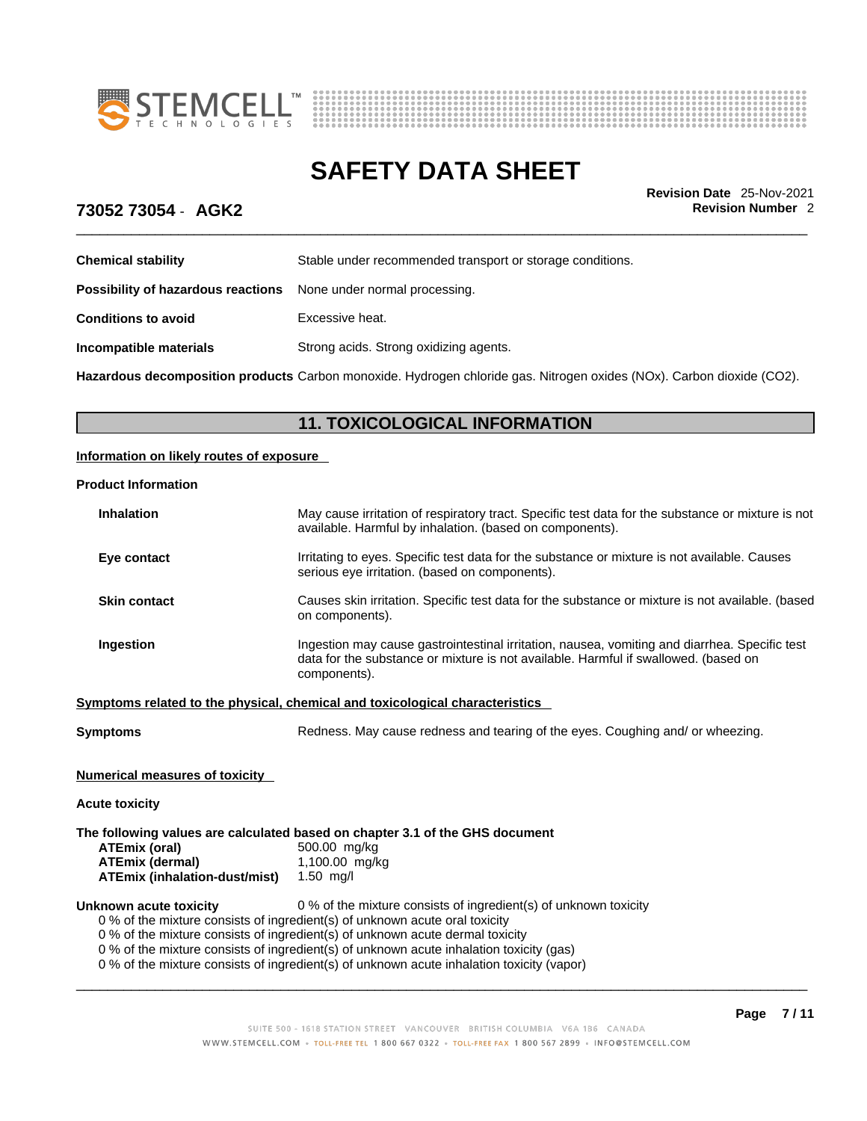



\_\_\_\_\_\_\_\_\_\_\_\_\_\_\_\_\_\_\_\_\_\_\_\_\_\_\_\_\_\_\_\_\_\_\_\_\_\_\_\_\_\_\_\_\_\_\_\_\_\_\_\_\_\_\_\_\_\_\_\_\_\_\_\_\_\_\_\_\_\_\_\_\_\_\_\_\_\_\_\_\_\_\_\_\_\_\_\_\_\_\_\_\_ **Revision Date** 25-Nov-2021

## **73052 73054** - **AGK2 Revision Number** 2

| Stable under recommended transport or storage conditions. |
|-----------------------------------------------------------|
|                                                           |
|                                                           |
| Strong acids. Strong oxidizing agents.                    |
|                                                           |

**Hazardous decomposition products** Carbon monoxide. Hydrogen chloride gas. Nitrogen oxides (NOx). Carbon dioxide (CO2).

## **11. TOXICOLOGICAL INFORMATION**

### **Information on likely routes of exposure**

### **Product Information**

| Symptoms                                                                     | Redness. May cause redness and tearing of the eyes. Coughing and/or wheezing.                                                                                                                        |  |
|------------------------------------------------------------------------------|------------------------------------------------------------------------------------------------------------------------------------------------------------------------------------------------------|--|
| Symptoms related to the physical, chemical and toxicological characteristics |                                                                                                                                                                                                      |  |
| Ingestion                                                                    | Ingestion may cause gastrointestinal irritation, nausea, vomiting and diarrhea. Specific test<br>data for the substance or mixture is not available. Harmful if swallowed. (based on<br>components). |  |
| <b>Skin contact</b>                                                          | Causes skin irritation. Specific test data for the substance or mixture is not available. (based<br>on components).                                                                                  |  |
| Eye contact                                                                  | Irritating to eyes. Specific test data for the substance or mixture is not available. Causes<br>serious eye irritation. (based on components).                                                       |  |
| <b>Inhalation</b>                                                            | May cause irritation of respiratory tract. Specific test data for the substance or mixture is not<br>available. Harmful by inhalation. (based on components).                                        |  |

**Numerical measures of toxicity**

**Acute toxicity**

**The following values are calculated based on chapter 3.1 of the GHS document**

| ATEmix (oral)                        | 500.00 mg/kg   |
|--------------------------------------|----------------|
| <b>ATEmix (dermal)</b>               | 1,100.00 mg/kg |
| <b>ATEmix (inhalation-dust/mist)</b> | 1.50 $mq/l$    |

**Unknown acute toxicity** 0 % of the mixture consists of ingredient(s) of unknown toxicity

0 % of the mixture consists of ingredient(s) of unknown acute oral toxicity

0 % of the mixture consists of ingredient(s) of unknown acute dermal toxicity

0 % of the mixture consists of ingredient(s) of unknown acute inhalation toxicity (gas)

0 % of the mixture consists of ingredient(s) of unknown acute inhalation toxicity (vapor)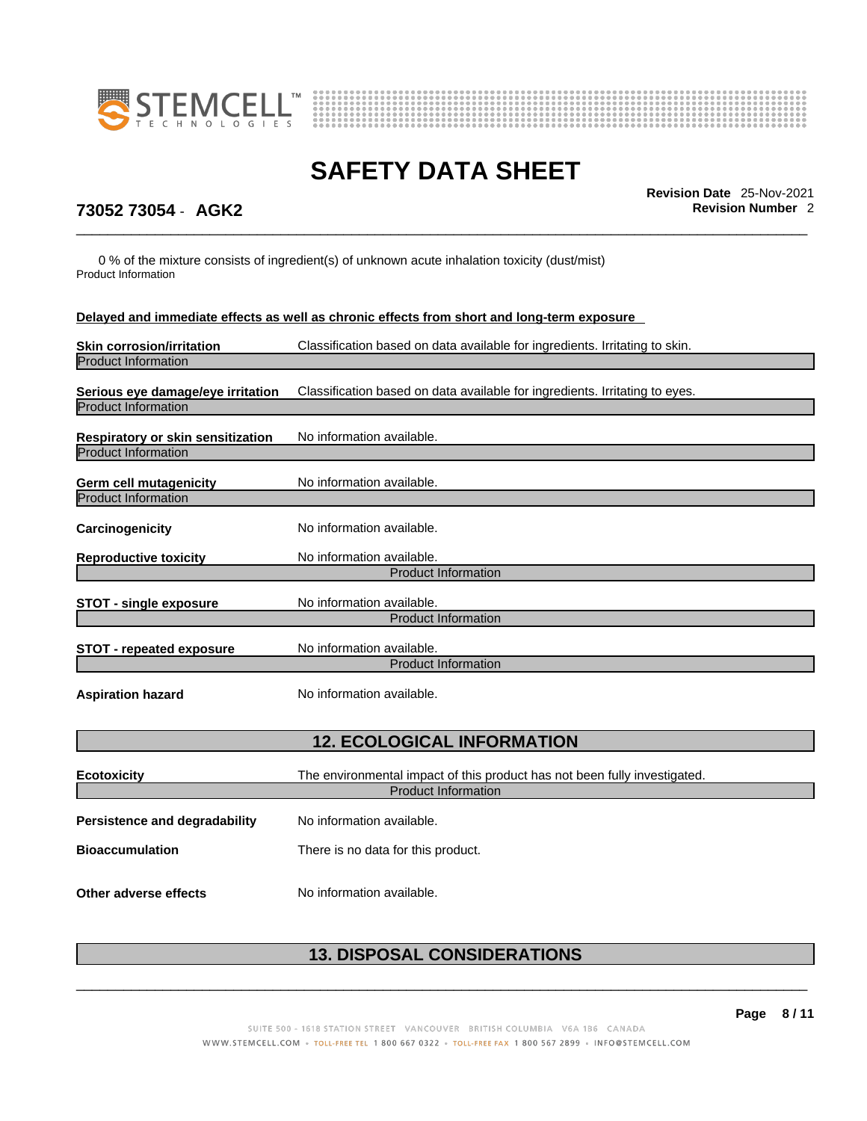



\_\_\_\_\_\_\_\_\_\_\_\_\_\_\_\_\_\_\_\_\_\_\_\_\_\_\_\_\_\_\_\_\_\_\_\_\_\_\_\_\_\_\_\_\_\_\_\_\_\_\_\_\_\_\_\_\_\_\_\_\_\_\_\_\_\_\_\_\_\_\_\_\_\_\_\_\_\_\_\_\_\_\_\_\_\_\_\_\_\_\_\_\_ **Revision Date** 25-Nov-2021

# **73052 73054** - **AGK2 Revision Number** 2

0 % of the mixture consists of ingredient(s) of unknown acute inhalation toxicity (dust/mist) Product Information

| Delayed and immediate effects as well as chronic effects from short and long-term exposure |                                                                                                         |  |
|--------------------------------------------------------------------------------------------|---------------------------------------------------------------------------------------------------------|--|
| <b>Skin corrosion/irritation</b><br><b>Product Information</b>                             | Classification based on data available for ingredients. Irritating to skin.                             |  |
| Serious eye damage/eye irritation<br><b>Product Information</b>                            | Classification based on data available for ingredients. Irritating to eyes.                             |  |
| Respiratory or skin sensitization<br><b>Product Information</b>                            | No information available.                                                                               |  |
| Germ cell mutagenicity<br><b>Product Information</b>                                       | No information available.                                                                               |  |
| Carcinogenicity                                                                            | No information available.                                                                               |  |
| <b>Reproductive toxicity</b>                                                               | No information available.<br><b>Product Information</b>                                                 |  |
| <b>STOT - single exposure</b>                                                              | No information available.<br><b>Product Information</b>                                                 |  |
| <b>STOT - repeated exposure</b>                                                            | No information available.<br><b>Product Information</b>                                                 |  |
| <b>Aspiration hazard</b>                                                                   | No information available.                                                                               |  |
| <b>12. ECOLOGICAL INFORMATION</b>                                                          |                                                                                                         |  |
| <b>Ecotoxicity</b>                                                                         | The environmental impact of this product has not been fully investigated.<br><b>Product Information</b> |  |
| <b>Persistence and degradability</b>                                                       | No information available.                                                                               |  |
| <b>Bioaccumulation</b>                                                                     | There is no data for this product.                                                                      |  |
| Other adverse effects                                                                      | No information available.                                                                               |  |

# **13. DISPOSAL CONSIDERATIONS**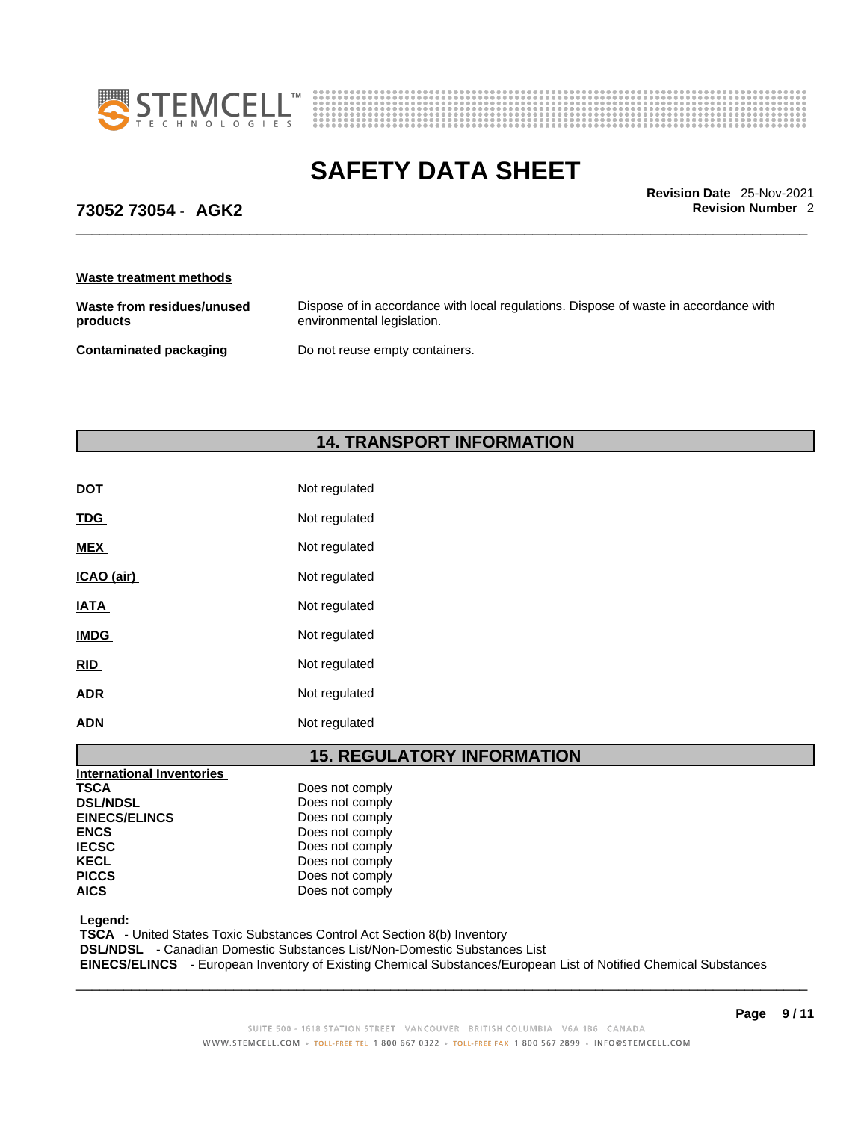



\_\_\_\_\_\_\_\_\_\_\_\_\_\_\_\_\_\_\_\_\_\_\_\_\_\_\_\_\_\_\_\_\_\_\_\_\_\_\_\_\_\_\_\_\_\_\_\_\_\_\_\_\_\_\_\_\_\_\_\_\_\_\_\_\_\_\_\_\_\_\_\_\_\_\_\_\_\_\_\_\_\_\_\_\_\_\_\_\_\_\_\_\_ **Revision Date** 25-Nov-2021

## **73052 73054** - **AGK2 Revision Number** 2

**Waste treatment methods**

| Waste from residues/unused    | Dispose of in accordance with local regulations. Dispose of waste in accordance with |
|-------------------------------|--------------------------------------------------------------------------------------|
| products                      | environmental legislation.                                                           |
| <b>Contaminated packaging</b> | Do not reuse empty containers.                                                       |

### **14. TRANSPORT INFORMATION**

| <b>DOT</b>  | Not regulated |
|-------------|---------------|
| <b>TDG</b>  | Not regulated |
| <b>MEX</b>  | Not regulated |
| ICAO (air)  | Not regulated |
| <b>IATA</b> | Not regulated |
| <b>IMDG</b> | Not regulated |
| <b>RID</b>  | Not regulated |
| <b>ADR</b>  | Not regulated |
| ADN         | Not regulated |

## **15. REGULATORY INFORMATION**

| International Inventories |                 |
|---------------------------|-----------------|
| <b>TSCA</b>               | Does not comply |
| <b>DSL/NDSL</b>           | Does not comply |
| <b>EINECS/ELINCS</b>      | Does not comply |
| <b>ENCS</b>               | Does not comply |
| <b>IECSC</b>              | Does not comply |
| <b>KECL</b>               | Does not comply |
| <b>PICCS</b>              | Does not comply |
| <b>AICS</b>               | Does not comply |

 **Legend:** 

 **TSCA** - United States Toxic Substances Control Act Section 8(b) Inventory

 **DSL/NDSL** - Canadian Domestic Substances List/Non-Domestic Substances List

 **EINECS/ELINCS** - European Inventory of Existing Chemical Substances/European List of Notified Chemical Substances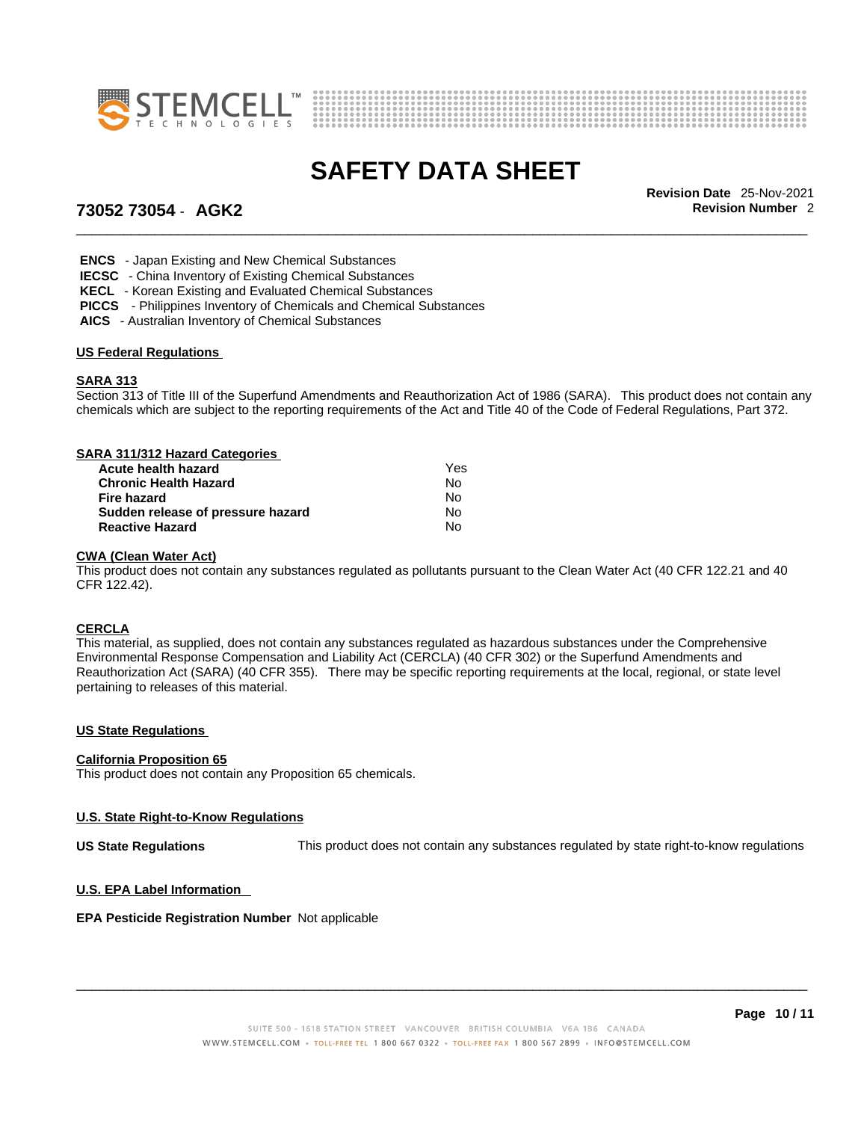



\_\_\_\_\_\_\_\_\_\_\_\_\_\_\_\_\_\_\_\_\_\_\_\_\_\_\_\_\_\_\_\_\_\_\_\_\_\_\_\_\_\_\_\_\_\_\_\_\_\_\_\_\_\_\_\_\_\_\_\_\_\_\_\_\_\_\_\_\_\_\_\_\_\_\_\_\_\_\_\_\_\_\_\_\_\_\_\_\_\_\_\_\_ **Revision Date** 25-Nov-2021

# **73052 73054** - **AGK2 Revision Number** 2

 **ENCS** - Japan Existing and New Chemical Substances

 **IECSC** - China Inventory of Existing Chemical Substances

 **KECL** - Korean Existing and Evaluated Chemical Substances

**PICCS** - Philippines Inventory of Chemicals and Chemical Substances

 **AICS** - Australian Inventory of Chemical Substances

### **US Federal Regulations**

### **SARA 313**

Section 313 of Title III of the Superfund Amendments and Reauthorization Act of 1986 (SARA). This product does not contain any chemicals which are subject to the reporting requirements of the Act and Title 40 of the Code of Federal Regulations, Part 372.

| SARA 311/312 Hazard Categories    |     |  |
|-----------------------------------|-----|--|
| Acute health hazard               | Yes |  |
| <b>Chronic Health Hazard</b>      | No  |  |
| Fire hazard                       | No  |  |
| Sudden release of pressure hazard | No  |  |
| <b>Reactive Hazard</b>            | No  |  |

### **CWA (Clean WaterAct)**

This product does not contain any substances regulated as pollutants pursuant to the Clean Water Act (40 CFR 122.21 and 40 CFR 122.42).

### **CERCLA**

This material, as supplied, does not contain any substances regulated as hazardous substances under the Comprehensive Environmental Response Compensation and Liability Act (CERCLA) (40 CFR 302) or the Superfund Amendments and Reauthorization Act (SARA) (40 CFR 355). There may be specific reporting requirements at the local, regional, or state level pertaining to releases of this material.

### **US State Regulations**

### **California Proposition 65**

This product does not contain any Proposition 65 chemicals.

### **U.S. State Right-to-Know Regulations**

**US State Regulations** This product does not contain any substances regulated by state right-to-know regulations

### **U.S. EPA Label Information**

### **EPA Pesticide Registration Number** Not applicable